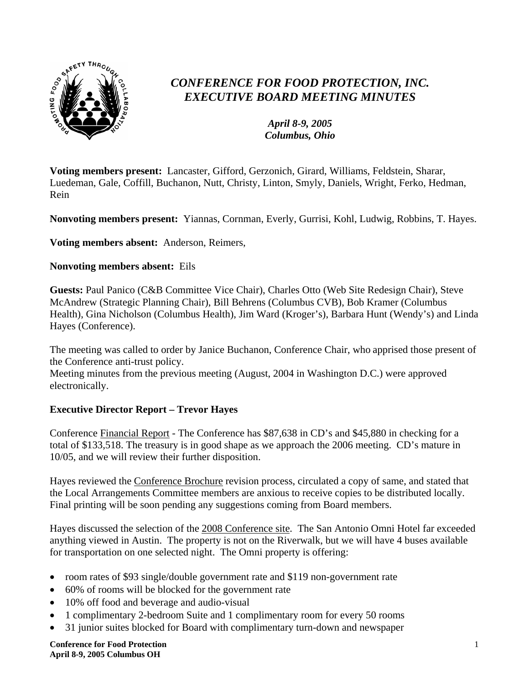

# *CONFERENCE FOR FOOD PROTECTION, INC. EXECUTIVE BOARD MEETING MINUTES*

*April 8-9, 2005 Columbus, Ohio*

**Voting members present:** Lancaster, Gifford, Gerzonich, Girard, Williams, Feldstein, Sharar, Luedeman, Gale, Coffill, Buchanon, Nutt, Christy, Linton, Smyly, Daniels, Wright, Ferko, Hedman, Rein

**Nonvoting members present:** Yiannas, Cornman, Everly, Gurrisi, Kohl, Ludwig, Robbins, T. Hayes.

**Voting members absent:** Anderson, Reimers,

#### **Nonvoting members absent:** Eils

**Guests:** Paul Panico (C&B Committee Vice Chair), Charles Otto (Web Site Redesign Chair), Steve McAndrew (Strategic Planning Chair), Bill Behrens (Columbus CVB), Bob Kramer (Columbus Health), Gina Nicholson (Columbus Health), Jim Ward (Kroger's), Barbara Hunt (Wendy's) and Linda Hayes (Conference).

The meeting was called to order by Janice Buchanon, Conference Chair, who apprised those present of the Conference anti-trust policy.

Meeting minutes from the previous meeting (August, 2004 in Washington D.C.) were approved electronically.

## **Executive Director Report – Trevor Hayes**

Conference Financial Report - The Conference has \$87,638 in CD's and \$45,880 in checking for a total of \$133,518. The treasury is in good shape as we approach the 2006 meeting. CD's mature in 10/05, and we will review their further disposition.

Hayes reviewed the Conference Brochure revision process, circulated a copy of same, and stated that the Local Arrangements Committee members are anxious to receive copies to be distributed locally. Final printing will be soon pending any suggestions coming from Board members.

Hayes discussed the selection of the 2008 Conference site. The San Antonio Omni Hotel far exceeded anything viewed in Austin. The property is not on the Riverwalk, but we will have 4 buses available for transportation on one selected night. The Omni property is offering:

- room rates of \$93 single/double government rate and \$119 non-government rate
- 60% of rooms will be blocked for the government rate
- 10% off food and beverage and audio-visual
- 1 complimentary 2-bedroom Suite and 1 complimentary room for every 50 rooms
- 31 junior suites blocked for Board with complimentary turn-down and newspaper

**Conference for Food Protection April 8-9, 2005 Columbus OH**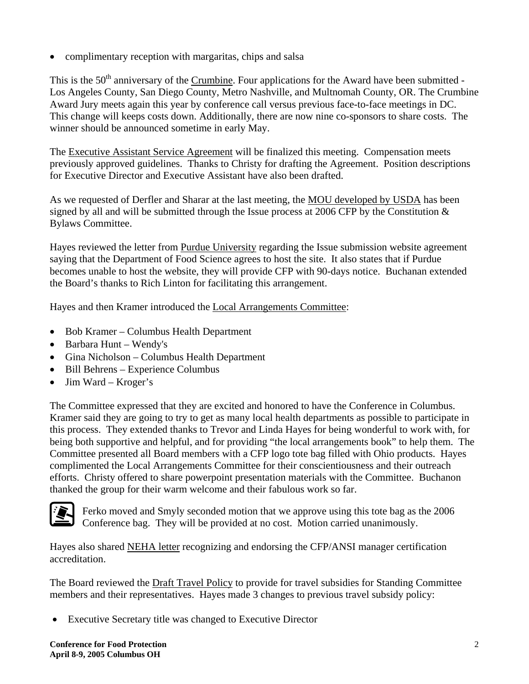• complimentary reception with margaritas, chips and salsa

This is the 50<sup>th</sup> anniversary of the Crumbine. Four applications for the Award have been submitted -Los Angeles County, San Diego County, Metro Nashville, and Multnomah County, OR. The Crumbine Award Jury meets again this year by conference call versus previous face-to-face meetings in DC. This change will keeps costs down. Additionally, there are now nine co-sponsors to share costs. The winner should be announced sometime in early May.

The Executive Assistant Service Agreement will be finalized this meeting. Compensation meets previously approved guidelines. Thanks to Christy for drafting the Agreement. Position descriptions for Executive Director and Executive Assistant have also been drafted.

As we requested of Derfler and Sharar at the last meeting, the MOU developed by USDA has been signed by all and will be submitted through the Issue process at 2006 CFP by the Constitution  $\&$ Bylaws Committee.

Hayes reviewed the letter from Purdue University regarding the Issue submission website agreement saying that the Department of Food Science agrees to host the site. It also states that if Purdue becomes unable to host the website, they will provide CFP with 90-days notice. Buchanan extended the Board's thanks to Rich Linton for facilitating this arrangement.

Hayes and then Kramer introduced the Local Arrangements Committee:

- Bob Kramer Columbus Health Department
- Barbara Hunt Wendy's
- Gina Nicholson Columbus Health Department
- Bill Behrens Experience Columbus
- Jim Ward Kroger's

The Committee expressed that they are excited and honored to have the Conference in Columbus. Kramer said they are going to try to get as many local health departments as possible to participate in this process. They extended thanks to Trevor and Linda Hayes for being wonderful to work with, for being both supportive and helpful, and for providing "the local arrangements book" to help them. The Committee presented all Board members with a CFP logo tote bag filled with Ohio products. Hayes complimented the Local Arrangements Committee for their conscientiousness and their outreach efforts. Christy offered to share powerpoint presentation materials with the Committee. Buchanon thanked the group for their warm welcome and their fabulous work so far.



Ferko moved and Smyly seconded motion that we approve using this tote bag as the 2006 Conference bag. They will be provided at no cost. Motion carried unanimously.

Hayes also shared NEHA letter recognizing and endorsing the CFP/ANSI manager certification accreditation.

The Board reviewed the Draft Travel Policy to provide for travel subsidies for Standing Committee members and their representatives. Hayes made 3 changes to previous travel subsidy policy:

• Executive Secretary title was changed to Executive Director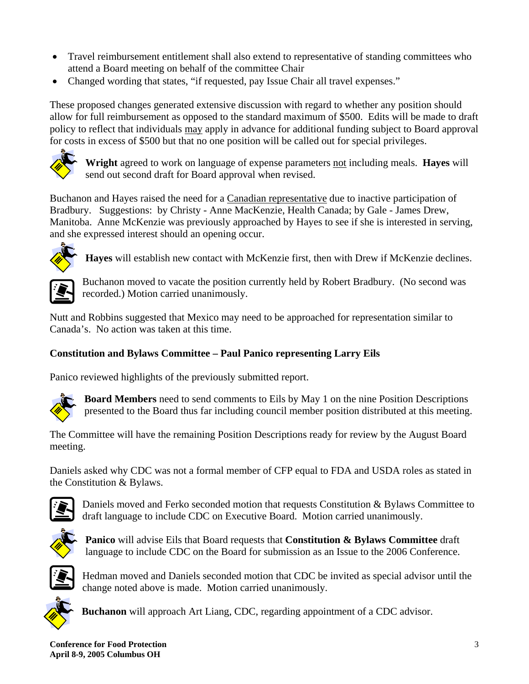- Travel reimbursement entitlement shall also extend to representative of standing committees who attend a Board meeting on behalf of the committee Chair
- Changed wording that states, "if requested, pay Issue Chair all travel expenses."

These proposed changes generated extensive discussion with regard to whether any position should allow for full reimbursement as opposed to the standard maximum of \$500. Edits will be made to draft policy to reflect that individuals may apply in advance for additional funding subject to Board approval for costs in excess of \$500 but that no one position will be called out for special privileges.



**Wright** agreed to work on language of expense parameters not including meals. **Hayes** will send out second draft for Board approval when revised.

Buchanon and Hayes raised the need for a Canadian representative due to inactive participation of Bradbury. Suggestions: by Christy - Anne MacKenzie, Health Canada; by Gale - James Drew, Manitoba. Anne McKenzie was previously approached by Hayes to see if she is interested in serving, and she expressed interest should an opening occur.



**Hayes** will establish new contact with McKenzie first, then with Drew if McKenzie declines.



Buchanon moved to vacate the position currently held by Robert Bradbury. (No second was recorded.) Motion carried unanimously.

Nutt and Robbins suggested that Mexico may need to be approached for representation similar to Canada's. No action was taken at this time.

# **Constitution and Bylaws Committee – Paul Panico representing Larry Eils**

Panico reviewed highlights of the previously submitted report.



**Board Members** need to send comments to Eils by May 1 on the nine Position Descriptions presented to the Board thus far including council member position distributed at this meeting.

The Committee will have the remaining Position Descriptions ready for review by the August Board meeting.

Daniels asked why CDC was not a formal member of CFP equal to FDA and USDA roles as stated in the Constitution & Bylaws.



Daniels moved and Ferko seconded motion that requests Constitution & Bylaws Committee to draft language to include CDC on Executive Board. Motion carried unanimously.



**Panico** will advise Eils that Board requests that **Constitution & Bylaws Committee** draft language to include CDC on the Board for submission as an Issue to the 2006 Conference.



Hedman moved and Daniels seconded motion that CDC be invited as special advisor until the change noted above is made. Motion carried unanimously.



**Buchanon** will approach Art Liang, CDC, regarding appointment of a CDC advisor.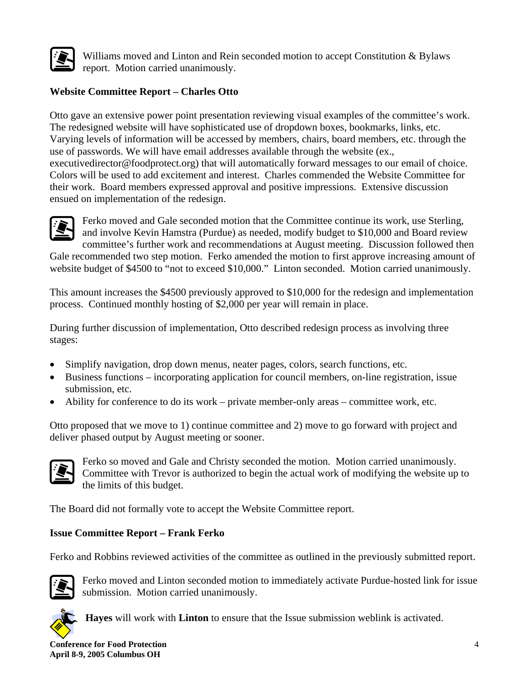

Williams moved and Linton and Rein seconded motion to accept Constitution & Bylaws report. Motion carried unanimously.

## **Website Committee Report – Charles Otto**

Otto gave an extensive power point presentation reviewing visual examples of the committee's work. The redesigned website will have sophisticated use of dropdown boxes, bookmarks, links, etc. Varying levels of information will be accessed by members, chairs, board members, etc. through the use of passwords. We will have email addresses available through the website (ex., executivedirector@foodprotect.org) that will automatically forward messages to our email of choice. Colors will be used to add excitement and interest. Charles commended the Website Committee for their work. Board members expressed approval and positive impressions. Extensive discussion ensued on implementation of the redesign.



Ferko moved and Gale seconded motion that the Committee continue its work, use Sterling, and involve Kevin Hamstra (Purdue) as needed, modify budget to \$10,000 and Board review committee's further work and recommendations at August meeting. Discussion followed then

Gale recommended two step motion. Ferko amended the motion to first approve increasing amount of website budget of \$4500 to "not to exceed \$10,000." Linton seconded. Motion carried unanimously.

This amount increases the \$4500 previously approved to \$10,000 for the redesign and implementation process. Continued monthly hosting of \$2,000 per year will remain in place.

During further discussion of implementation, Otto described redesign process as involving three stages:

- Simplify navigation, drop down menus, neater pages, colors, search functions, etc.
- Business functions incorporating application for council members, on-line registration, issue submission, etc.
- Ability for conference to do its work private member-only areas committee work, etc.

Otto proposed that we move to 1) continue committee and 2) move to go forward with project and deliver phased output by August meeting or sooner.



Ferko so moved and Gale and Christy seconded the motion. Motion carried unanimously. Committee with Trevor is authorized to begin the actual work of modifying the website up to the limits of this budget.

The Board did not formally vote to accept the Website Committee report.

## **Issue Committee Report – Frank Ferko**

Ferko and Robbins reviewed activities of the committee as outlined in the previously submitted report.



Ferko moved and Linton seconded motion to immediately activate Purdue-hosted link for issue submission. Motion carried unanimously.



**Hayes** will work with **Linton** to ensure that the Issue submission weblink is activated.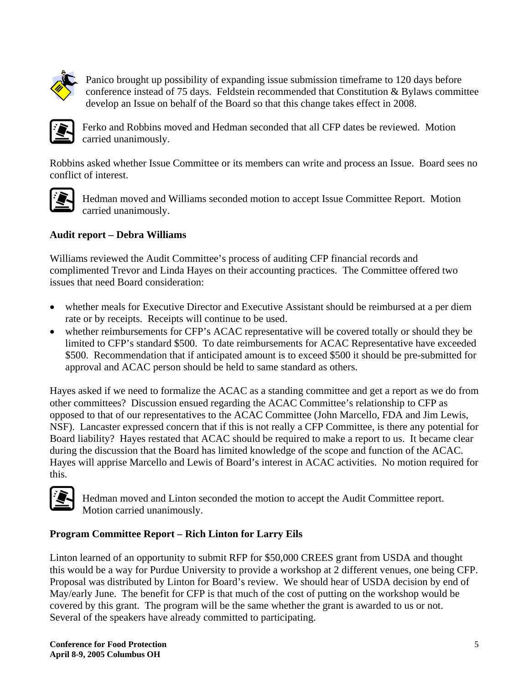

Panico brought up possibility of expanding issue submission timeframe to 120 days before conference instead of 75 days. Feldstein recommended that Constitution & Bylaws committee develop an Issue on behalf of the Board so that this change takes effect in 2008.



Ferko and Robbins moved and Hedman seconded that all CFP dates be reviewed. Motion carried unanimously.

Robbins asked whether Issue Committee or its members can write and process an Issue. Board sees no conflict of interest.



Hedman moved and Williams seconded motion to accept Issue Committee Report. Motion carried unanimously.

## **Audit report – Debra Williams**

Williams reviewed the Audit Committee's process of auditing CFP financial records and complimented Trevor and Linda Hayes on their accounting practices. The Committee offered two issues that need Board consideration:

- whether meals for Executive Director and Executive Assistant should be reimbursed at a per diem rate or by receipts. Receipts will continue to be used.
- whether reimbursements for CFP's ACAC representative will be covered totally or should they be limited to CFP's standard \$500. To date reimbursements for ACAC Representative have exceeded \$500. Recommendation that if anticipated amount is to exceed \$500 it should be pre-submitted for approval and ACAC person should be held to same standard as others.

Hayes asked if we need to formalize the ACAC as a standing committee and get a report as we do from other committees? Discussion ensued regarding the ACAC Committee's relationship to CFP as opposed to that of our representatives to the ACAC Committee (John Marcello, FDA and Jim Lewis, NSF). Lancaster expressed concern that if this is not really a CFP Committee, is there any potential for Board liability? Hayes restated that ACAC should be required to make a report to us. It became clear during the discussion that the Board has limited knowledge of the scope and function of the ACAC. Hayes will apprise Marcello and Lewis of Board's interest in ACAC activities. No motion required for this.



Hedman moved and Linton seconded the motion to accept the Audit Committee report. Motion carried unanimously.

#### **Program Committee Report – Rich Linton for Larry Eils**

Linton learned of an opportunity to submit RFP for \$50,000 CREES grant from USDA and thought this would be a way for Purdue University to provide a workshop at 2 different venues, one being CFP. Proposal was distributed by Linton for Board's review. We should hear of USDA decision by end of May/early June. The benefit for CFP is that much of the cost of putting on the workshop would be covered by this grant. The program will be the same whether the grant is awarded to us or not. Several of the speakers have already committed to participating.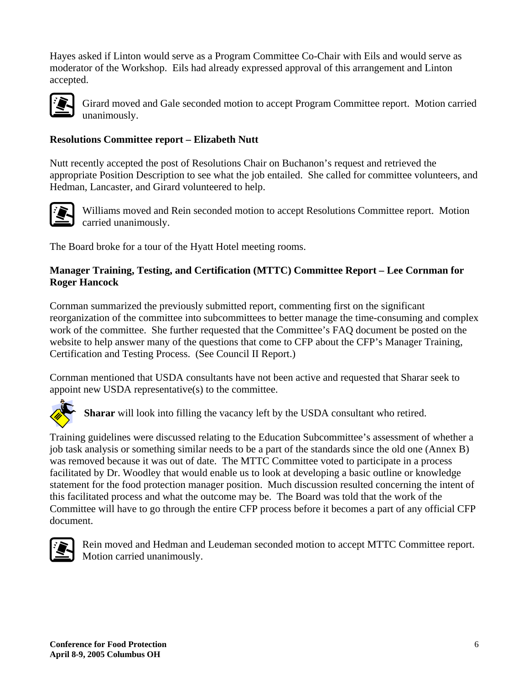Hayes asked if Linton would serve as a Program Committee Co-Chair with Eils and would serve as moderator of the Workshop. Eils had already expressed approval of this arrangement and Linton accepted.



Girard moved and Gale seconded motion to accept Program Committee report. Motion carried unanimously.

#### **Resolutions Committee report – Elizabeth Nutt**

Nutt recently accepted the post of Resolutions Chair on Buchanon's request and retrieved the appropriate Position Description to see what the job entailed. She called for committee volunteers, and Hedman, Lancaster, and Girard volunteered to help.



Williams moved and Rein seconded motion to accept Resolutions Committee report. Motion carried unanimously.

The Board broke for a tour of the Hyatt Hotel meeting rooms.

#### **Manager Training, Testing, and Certification (MTTC) Committee Report – Lee Cornman for Roger Hancock**

Cornman summarized the previously submitted report, commenting first on the significant reorganization of the committee into subcommittees to better manage the time-consuming and complex work of the committee. She further requested that the Committee's FAQ document be posted on the website to help answer many of the questions that come to CFP about the CFP's Manager Training, Certification and Testing Process. (See Council II Report.)

Cornman mentioned that USDA consultants have not been active and requested that Sharar seek to appoint new USDA representative(s) to the committee.



**Sharar** will look into filling the vacancy left by the USDA consultant who retired.

Training guidelines were discussed relating to the Education Subcommittee's assessment of whether a job task analysis or something similar needs to be a part of the standards since the old one (Annex B) was removed because it was out of date. The MTTC Committee voted to participate in a process facilitated by Dr. Woodley that would enable us to look at developing a basic outline or knowledge statement for the food protection manager position. Much discussion resulted concerning the intent of this facilitated process and what the outcome may be. The Board was told that the work of the Committee will have to go through the entire CFP process before it becomes a part of any official CFP document.



Rein moved and Hedman and Leudeman seconded motion to accept MTTC Committee report. Motion carried unanimously.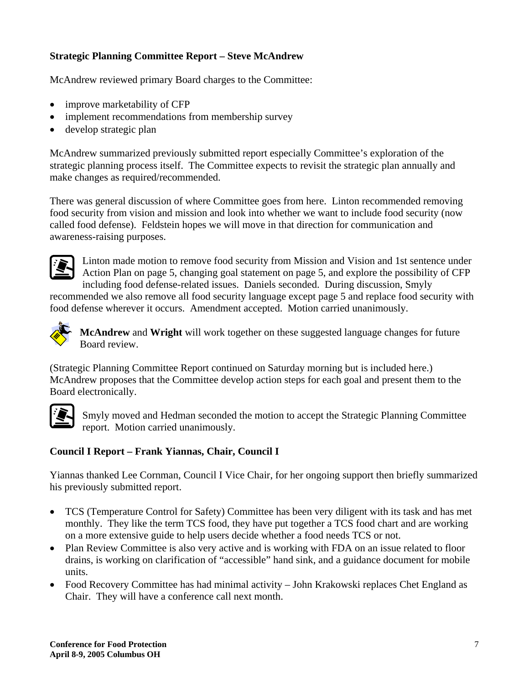## **Strategic Planning Committee Report – Steve McAndrew**

McAndrew reviewed primary Board charges to the Committee:

- improve marketability of CFP
- implement recommendations from membership survey
- develop strategic plan

McAndrew summarized previously submitted report especially Committee's exploration of the strategic planning process itself. The Committee expects to revisit the strategic plan annually and make changes as required/recommended.

There was general discussion of where Committee goes from here. Linton recommended removing food security from vision and mission and look into whether we want to include food security (now called food defense). Feldstein hopes we will move in that direction for communication and awareness-raising purposes.



Linton made motion to remove food security from Mission and Vision and 1st sentence under Action Plan on page 5, changing goal statement on page 5, and explore the possibility of CFP including food defense-related issues. Daniels seconded. During discussion, Smyly

recommended we also remove all food security language except page 5 and replace food security with food defense wherever it occurs. Amendment accepted. Motion carried unanimously.



**McAndrew** and **Wright** will work together on these suggested language changes for future Board review.

(Strategic Planning Committee Report continued on Saturday morning but is included here.) McAndrew proposes that the Committee develop action steps for each goal and present them to the Board electronically.



Smyly moved and Hedman seconded the motion to accept the Strategic Planning Committee report. Motion carried unanimously.

## **Council I Report – Frank Yiannas, Chair, Council I**

Yiannas thanked Lee Cornman, Council I Vice Chair, for her ongoing support then briefly summarized his previously submitted report.

- TCS (Temperature Control for Safety) Committee has been very diligent with its task and has met monthly. They like the term TCS food, they have put together a TCS food chart and are working on a more extensive guide to help users decide whether a food needs TCS or not.
- Plan Review Committee is also very active and is working with FDA on an issue related to floor drains, is working on clarification of "accessible" hand sink, and a guidance document for mobile units.
- Food Recovery Committee has had minimal activity John Krakowski replaces Chet England as Chair. They will have a conference call next month.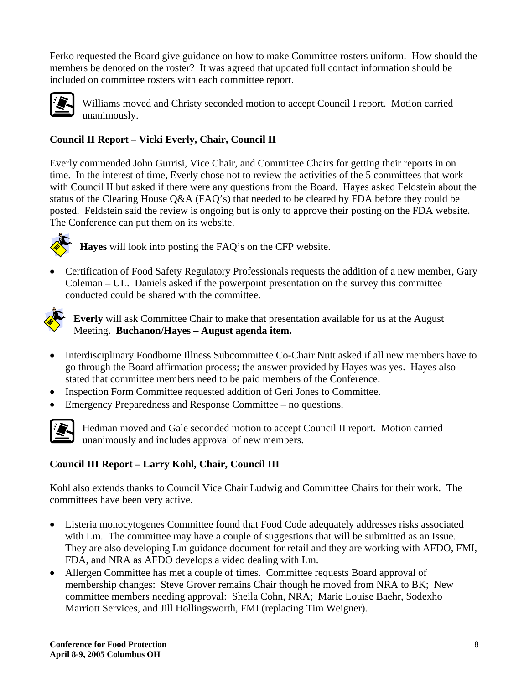Ferko requested the Board give guidance on how to make Committee rosters uniform. How should the members be denoted on the roster? It was agreed that updated full contact information should be included on committee rosters with each committee report.



Williams moved and Christy seconded motion to accept Council I report. Motion carried unanimously.

# **Council II Report – Vicki Everly, Chair, Council II**

Everly commended John Gurrisi, Vice Chair, and Committee Chairs for getting their reports in on time. In the interest of time, Everly chose not to review the activities of the 5 committees that work with Council II but asked if there were any questions from the Board. Hayes asked Feldstein about the status of the Clearing House Q&A (FAQ's) that needed to be cleared by FDA before they could be posted. Feldstein said the review is ongoing but is only to approve their posting on the FDA website. The Conference can put them on its website.



**Hayes** will look into posting the FAQ's on the CFP website.

• Certification of Food Safety Regulatory Professionals requests the addition of a new member, Gary Coleman – UL. Daniels asked if the powerpoint presentation on the survey this committee conducted could be shared with the committee.



**Everly** will ask Committee Chair to make that presentation available for us at the August Meeting. **Buchanon/Hayes – August agenda item.**

- Interdisciplinary Foodborne Illness Subcommittee Co-Chair Nutt asked if all new members have to go through the Board affirmation process; the answer provided by Hayes was yes. Hayes also stated that committee members need to be paid members of the Conference.
- Inspection Form Committee requested addition of Geri Jones to Committee.
- Emergency Preparedness and Response Committee no questions.



Hedman moved and Gale seconded motion to accept Council II report. Motion carried unanimously and includes approval of new members.

## **Council III Report – Larry Kohl, Chair, Council III**

Kohl also extends thanks to Council Vice Chair Ludwig and Committee Chairs for their work. The committees have been very active.

- Listeria monocytogenes Committee found that Food Code adequately addresses risks associated with Lm. The committee may have a couple of suggestions that will be submitted as an Issue. They are also developing Lm guidance document for retail and they are working with AFDO, FMI, FDA, and NRA as AFDO develops a video dealing with Lm.
- Allergen Committee has met a couple of times. Committee requests Board approval of membership changes: Steve Grover remains Chair though he moved from NRA to BK; New committee members needing approval: Sheila Cohn, NRA; Marie Louise Baehr, Sodexho Marriott Services, and Jill Hollingsworth, FMI (replacing Tim Weigner).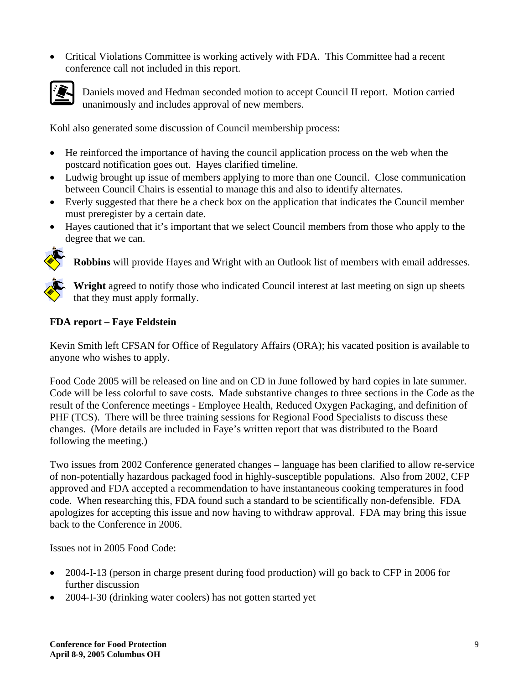• Critical Violations Committee is working actively with FDA. This Committee had a recent conference call not included in this report.



Daniels moved and Hedman seconded motion to accept Council II report. Motion carried unanimously and includes approval of new members.

Kohl also generated some discussion of Council membership process:

- He reinforced the importance of having the council application process on the web when the postcard notification goes out. Hayes clarified timeline.
- Ludwig brought up issue of members applying to more than one Council. Close communication between Council Chairs is essential to manage this and also to identify alternates.
- Everly suggested that there be a check box on the application that indicates the Council member must preregister by a certain date.
- Hayes cautioned that it's important that we select Council members from those who apply to the degree that we can.



**Robbins** will provide Hayes and Wright with an Outlook list of members with email addresses.



**Wright** agreed to notify those who indicated Council interest at last meeting on sign up sheets that they must apply formally.

#### **FDA report – Faye Feldstein**

Kevin Smith left CFSAN for Office of Regulatory Affairs (ORA); his vacated position is available to anyone who wishes to apply.

Food Code 2005 will be released on line and on CD in June followed by hard copies in late summer. Code will be less colorful to save costs. Made substantive changes to three sections in the Code as the result of the Conference meetings - Employee Health, Reduced Oxygen Packaging, and definition of PHF (TCS). There will be three training sessions for Regional Food Specialists to discuss these changes. (More details are included in Faye's written report that was distributed to the Board following the meeting.)

Two issues from 2002 Conference generated changes – language has been clarified to allow re-service of non-potentially hazardous packaged food in highly-susceptible populations. Also from 2002, CFP approved and FDA accepted a recommendation to have instantaneous cooking temperatures in food code. When researching this, FDA found such a standard to be scientifically non-defensible. FDA apologizes for accepting this issue and now having to withdraw approval. FDA may bring this issue back to the Conference in 2006.

Issues not in 2005 Food Code:

- 2004-I-13 (person in charge present during food production) will go back to CFP in 2006 for further discussion
- 2004-I-30 (drinking water coolers) has not gotten started yet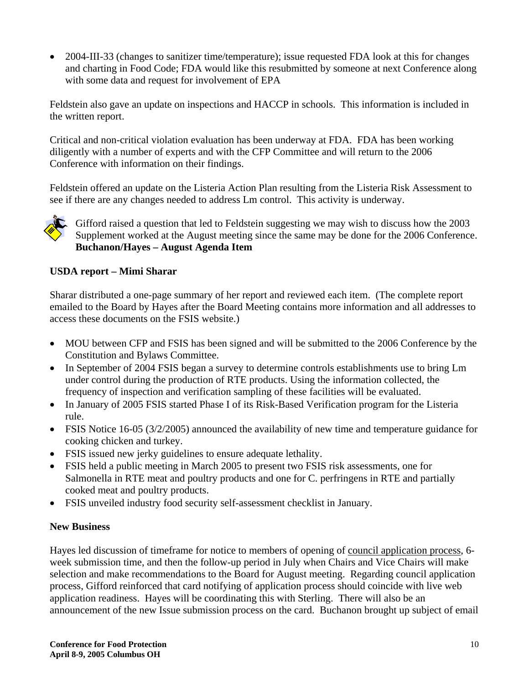• 2004-III-33 (changes to sanitizer time/temperature); issue requested FDA look at this for changes and charting in Food Code; FDA would like this resubmitted by someone at next Conference along with some data and request for involvement of EPA

Feldstein also gave an update on inspections and HACCP in schools. This information is included in the written report.

Critical and non-critical violation evaluation has been underway at FDA. FDA has been working diligently with a number of experts and with the CFP Committee and will return to the 2006 Conference with information on their findings.

Feldstein offered an update on the Listeria Action Plan resulting from the Listeria Risk Assessment to see if there are any changes needed to address Lm control. This activity is underway.



Gifford raised a question that led to Feldstein suggesting we may wish to discuss how the 2003 Supplement worked at the August meeting since the same may be done for the 2006 Conference. **Buchanon/Hayes – August Agenda Item**

#### **USDA report – Mimi Sharar**

Sharar distributed a one-page summary of her report and reviewed each item. (The complete report emailed to the Board by Hayes after the Board Meeting contains more information and all addresses to access these documents on the FSIS website.)

- MOU between CFP and FSIS has been signed and will be submitted to the 2006 Conference by the Constitution and Bylaws Committee.
- In September of 2004 FSIS began a survey to determine controls establishments use to bring Lm under control during the production of RTE products. Using the information collected, the frequency of inspection and verification sampling of these facilities will be evaluated.
- In January of 2005 FSIS started Phase I of its Risk-Based Verification program for the Listeria rule.
- FSIS Notice 16-05 (3/2/2005) announced the availability of new time and temperature guidance for cooking chicken and turkey.
- FSIS issued new jerky guidelines to ensure adequate lethality.
- FSIS held a public meeting in March 2005 to present two FSIS risk assessments, one for Salmonella in RTE meat and poultry products and one for C. perfringens in RTE and partially cooked meat and poultry products.
- FSIS unveiled industry food security self-assessment checklist in January.

#### **New Business**

Hayes led discussion of timeframe for notice to members of opening of council application process, 6 week submission time, and then the follow-up period in July when Chairs and Vice Chairs will make selection and make recommendations to the Board for August meeting. Regarding council application process, Gifford reinforced that card notifying of application process should coincide with live web application readiness. Hayes will be coordinating this with Sterling. There will also be an announcement of the new Issue submission process on the card. Buchanon brought up subject of email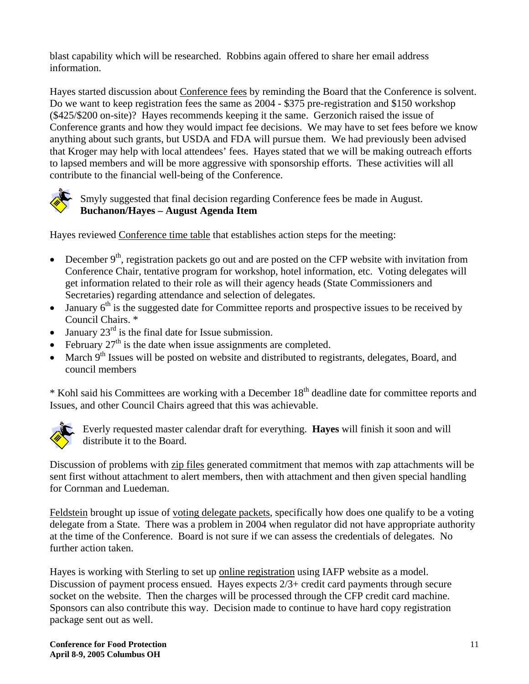blast capability which will be researched. Robbins again offered to share her email address information.

Hayes started discussion about Conference fees by reminding the Board that the Conference is solvent. Do we want to keep registration fees the same as 2004 - \$375 pre-registration and \$150 workshop (\$425/\$200 on-site)? Hayes recommends keeping it the same. Gerzonich raised the issue of Conference grants and how they would impact fee decisions. We may have to set fees before we know anything about such grants, but USDA and FDA will pursue them. We had previously been advised that Kroger may help with local attendees' fees. Hayes stated that we will be making outreach efforts to lapsed members and will be more aggressive with sponsorship efforts. These activities will all contribute to the financial well-being of the Conference.



Smyly suggested that final decision regarding Conference fees be made in August. **Buchanon/Hayes – August Agenda Item**

Hayes reviewed Conference time table that establishes action steps for the meeting:

- December  $9<sup>th</sup>$ , registration packets go out and are posted on the CFP website with invitation from Conference Chair, tentative program for workshop, hotel information, etc. Voting delegates will get information related to their role as will their agency heads (State Commissioners and Secretaries) regarding attendance and selection of delegates.
- January  $6<sup>th</sup>$  is the suggested date for Committee reports and prospective issues to be received by Council Chairs. \*
- January  $23^{rd}$  is the final date for Issue submission.
- February  $27<sup>th</sup>$  is the date when issue assignments are completed.
- March  $9<sup>th</sup>$  Issues will be posted on website and distributed to registrants, delegates, Board, and council members

\* Kohl said his Committees are working with a December 18th deadline date for committee reports and Issues, and other Council Chairs agreed that this was achievable.



Everly requested master calendar draft for everything. **Hayes** will finish it soon and will distribute it to the Board.

Discussion of problems with zip files generated commitment that memos with zap attachments will be sent first without attachment to alert members, then with attachment and then given special handling for Cornman and Luedeman.

Feldstein brought up issue of voting delegate packets, specifically how does one qualify to be a voting delegate from a State. There was a problem in 2004 when regulator did not have appropriate authority at the time of the Conference. Board is not sure if we can assess the credentials of delegates. No further action taken.

Hayes is working with Sterling to set up online registration using IAFP website as a model. Discussion of payment process ensued. Hayes expects 2/3+ credit card payments through secure socket on the website. Then the charges will be processed through the CFP credit card machine. Sponsors can also contribute this way. Decision made to continue to have hard copy registration package sent out as well.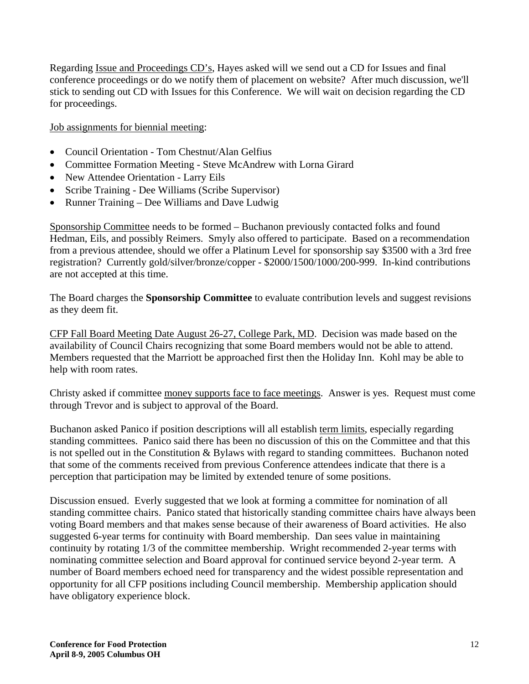Regarding Issue and Proceedings CD's, Hayes asked will we send out a CD for Issues and final conference proceedings or do we notify them of placement on website? After much discussion, we'll stick to sending out CD with Issues for this Conference. We will wait on decision regarding the CD for proceedings.

Job assignments for biennial meeting:

- Council Orientation Tom Chestnut/Alan Gelfius
- Committee Formation Meeting Steve McAndrew with Lorna Girard
- New Attendee Orientation Larry Eils
- Scribe Training Dee Williams (Scribe Supervisor)
- Runner Training Dee Williams and Dave Ludwig

Sponsorship Committee needs to be formed – Buchanon previously contacted folks and found Hedman, Eils, and possibly Reimers. Smyly also offered to participate. Based on a recommendation from a previous attendee, should we offer a Platinum Level for sponsorship say \$3500 with a 3rd free registration? Currently gold/silver/bronze/copper - \$2000/1500/1000/200-999. In-kind contributions are not accepted at this time.

The Board charges the **Sponsorship Committee** to evaluate contribution levels and suggest revisions as they deem fit.

CFP Fall Board Meeting Date August 26-27, College Park, MD. Decision was made based on the availability of Council Chairs recognizing that some Board members would not be able to attend. Members requested that the Marriott be approached first then the Holiday Inn. Kohl may be able to help with room rates.

Christy asked if committee money supports face to face meetings. Answer is yes. Request must come through Trevor and is subject to approval of the Board.

Buchanon asked Panico if position descriptions will all establish term limits, especially regarding standing committees. Panico said there has been no discussion of this on the Committee and that this is not spelled out in the Constitution & Bylaws with regard to standing committees. Buchanon noted that some of the comments received from previous Conference attendees indicate that there is a perception that participation may be limited by extended tenure of some positions.

Discussion ensued. Everly suggested that we look at forming a committee for nomination of all standing committee chairs. Panico stated that historically standing committee chairs have always been voting Board members and that makes sense because of their awareness of Board activities. He also suggested 6-year terms for continuity with Board membership. Dan sees value in maintaining continuity by rotating 1/3 of the committee membership. Wright recommended 2-year terms with nominating committee selection and Board approval for continued service beyond 2-year term. A number of Board members echoed need for transparency and the widest possible representation and opportunity for all CFP positions including Council membership. Membership application should have obligatory experience block.